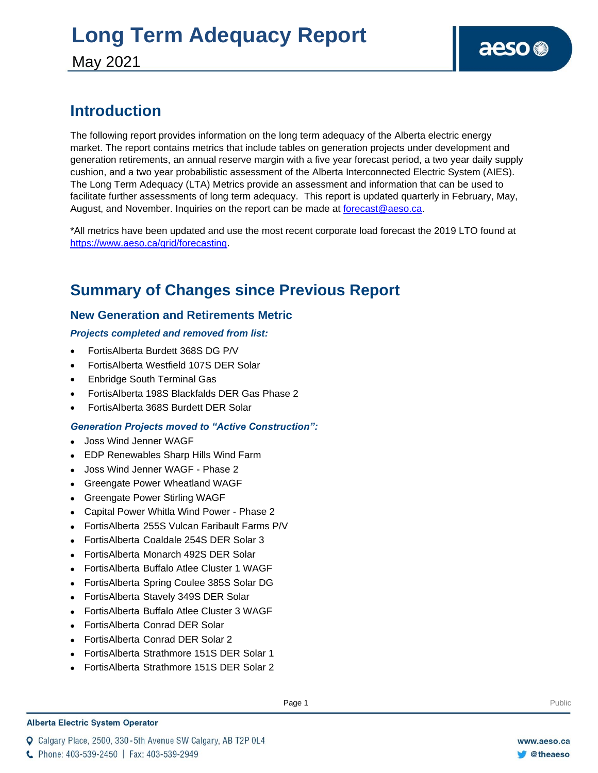### **Introduction**

The following report provides information on the long term adequacy of the Alberta electric energy market. The report contains metrics that include tables on generation projects under development and generation retirements, an annual reserve margin with a five year forecast period, a two year daily supply cushion, and a two year probabilistic assessment of the Alberta Interconnected Electric System (AIES). The Long Term Adequacy (LTA) Metrics provide an assessment and information that can be used to facilitate further assessments of long term adequacy. This report is updated quarterly in February, May, August, and November. Inquiries on the report can be made at [forecast@aeso.ca.](mailto:forecast@aeso.ca)

\*All metrics have been updated and use the most recent corporate load forecast the 2019 LTO found at [https://www.aeso.ca/grid/forecasting.](https://www.aeso.ca/grid/forecasting)

### **Summary of Changes since Previous Report**

### **New Generation and Retirements Metric**

### *Projects completed and removed from list:*

- FortisAlberta Burdett 368S DG P/V
- FortisAlberta Westfield 107S DER Solar
- Enbridge South Terminal Gas
- FortisAlberta 198S Blackfalds DER Gas Phase 2
- FortisAlberta 368S Burdett DER Solar

### *Generation Projects moved to "Active Construction":*

- ⚫ Joss Wind Jenner WAGF
- ⚫ EDP Renewables Sharp Hills Wind Farm
- ⚫ Joss Wind Jenner WAGF Phase 2
- ⚫ Greengate Power Wheatland WAGF
- ⚫ Greengate Power Stirling WAGF
- ⚫ Capital Power Whitla Wind Power Phase 2
- ⚫ FortisAlberta 255S Vulcan Faribault Farms P/V
- ⚫ FortisAlberta Coaldale 254S DER Solar 3
- ⚫ FortisAlberta Monarch 492S DER Solar
- ⚫ FortisAlberta Buffalo Atlee Cluster 1 WAGF
- ⚫ FortisAlberta Spring Coulee 385S Solar DG
- ⚫ FortisAlberta Stavely 349S DER Solar
- ⚫ FortisAlberta Buffalo Atlee Cluster 3 WAGF
- ⚫ FortisAlberta Conrad DER Solar
- ⚫ FortisAlberta Conrad DER Solar 2
- ⚫ FortisAlberta Strathmore 151S DER Solar 1
- ⚫ FortisAlberta Strathmore 151S DER Solar 2

#### **Alberta Electric System Operator**

Q Calgary Place, 2500, 330-5th Avenue SW Calgary, AB T2P 0L4

**Enter Football Page 1** Public Page 1 **Public Page 1** Public Public Public Public Public Public Public Public Public Public Public Public Public Public Public Public Public Public Public Public Public Public Public Public

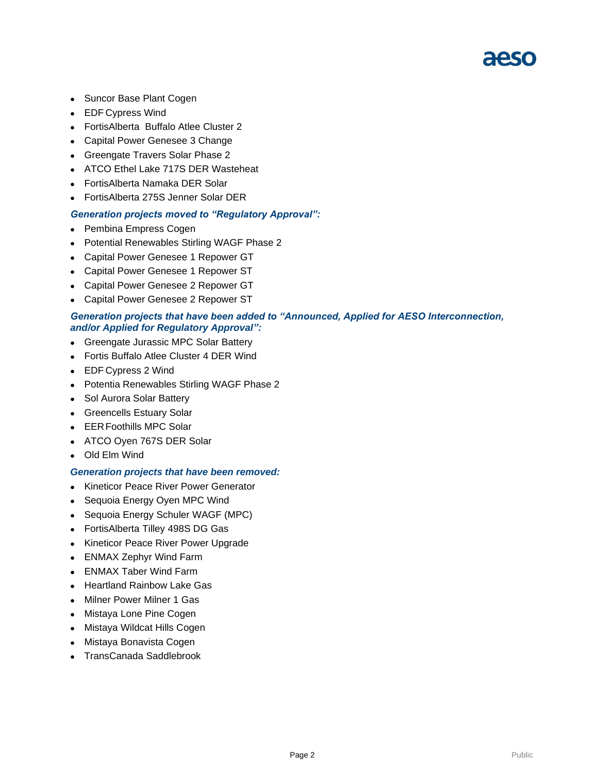### 21250

- Suncor Base Plant Cogen
- ⚫ EDF Cypress Wind
- ⚫ FortisAlberta Buffalo Atlee Cluster 2
- ⚫ Capital Power Genesee 3 Change
- ⚫ Greengate Travers Solar Phase 2
- ⚫ ATCO Ethel Lake 717S DER Wasteheat
- ⚫ FortisAlberta Namaka DER Solar
- ⚫ FortisAlberta 275S Jenner Solar DER

#### *Generation projects moved to "Regulatory Approval":*

- ⚫ Pembina Empress Cogen
- ⚫ Potential Renewables Stirling WAGF Phase 2
- ⚫ Capital Power Genesee 1 Repower GT
- ⚫ Capital Power Genesee 1 Repower ST
- ⚫ Capital Power Genesee 2 Repower GT
- ⚫ Capital Power Genesee 2 Repower ST

#### *Generation projects that have been added to "Announced, Applied for AESO Interconnection, and/or Applied for Regulatory Approval":*

- ⚫ Greengate Jurassic MPC Solar Battery
- ⚫ Fortis Buffalo Atlee Cluster 4 DER Wind
- ⚫ EDF Cypress 2 Wind
- ⚫ Potentia Renewables Stirling WAGF Phase 2
- ⚫ Sol Aurora Solar Battery
- ⚫ Greencells Estuary Solar
- ⚫ EERFoothills MPC Solar
- ⚫ ATCO Oyen 767S DER Solar
- ⚫ Old Elm Wind

#### *Generation projects that have been removed:*

- ⚫ Kineticor Peace River Power Generator
- Sequoia Energy Oyen MPC Wind
- ⚫ Sequoia Energy Schuler WAGF (MPC)
- ⚫ FortisAlberta Tilley 498S DG Gas
- ⚫ Kineticor Peace River Power Upgrade
- ⚫ ENMAX Zephyr Wind Farm
- ⚫ ENMAX Taber Wind Farm
- ⚫ Heartland Rainbow Lake Gas
- ⚫ Milner Power Milner 1 Gas
- ⚫ Mistaya Lone Pine Cogen
- ⚫ Mistaya Wildcat Hills Cogen
- ⚫ Mistaya Bonavista Cogen
- ⚫ TransCanada Saddlebrook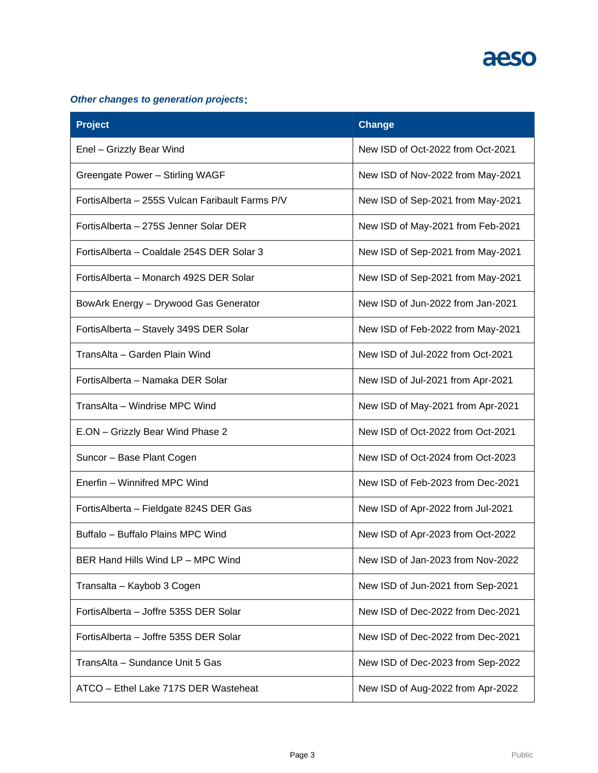

### *Other changes to generation projects***:**

| <b>Project</b>                                  | <b>Change</b>                     |
|-------------------------------------------------|-----------------------------------|
| Enel - Grizzly Bear Wind                        | New ISD of Oct-2022 from Oct-2021 |
| Greengate Power - Stirling WAGF                 | New ISD of Nov-2022 from May-2021 |
| FortisAlberta - 255S Vulcan Faribault Farms P/V | New ISD of Sep-2021 from May-2021 |
| FortisAlberta - 275S Jenner Solar DER           | New ISD of May-2021 from Feb-2021 |
| Fortis Alberta - Coaldale 254S DER Solar 3      | New ISD of Sep-2021 from May-2021 |
| FortisAlberta – Monarch 492S DER Solar          | New ISD of Sep-2021 from May-2021 |
| BowArk Energy - Drywood Gas Generator           | New ISD of Jun-2022 from Jan-2021 |
| FortisAlberta - Stavely 349S DER Solar          | New ISD of Feb-2022 from May-2021 |
| TransAlta - Garden Plain Wind                   | New ISD of Jul-2022 from Oct-2021 |
| FortisAlberta - Namaka DER Solar                | New ISD of Jul-2021 from Apr-2021 |
| TransAlta - Windrise MPC Wind                   | New ISD of May-2021 from Apr-2021 |
| E.ON - Grizzly Bear Wind Phase 2                | New ISD of Oct-2022 from Oct-2021 |
| Suncor - Base Plant Cogen                       | New ISD of Oct-2024 from Oct-2023 |
| Enerfin - Winnifred MPC Wind                    | New ISD of Feb-2023 from Dec-2021 |
| FortisAlberta - Fieldgate 824S DER Gas          | New ISD of Apr-2022 from Jul-2021 |
| Buffalo - Buffalo Plains MPC Wind               | New ISD of Apr-2023 from Oct-2022 |
| BER Hand Hills Wind LP - MPC Wind               | New ISD of Jan-2023 from Nov-2022 |
| Transalta - Kaybob 3 Cogen                      | New ISD of Jun-2021 from Sep-2021 |
| FortisAlberta - Joffre 535S DER Solar           | New ISD of Dec-2022 from Dec-2021 |
| Fortis Alberta - Joffre 535S DER Solar          | New ISD of Dec-2022 from Dec-2021 |
| TransAlta - Sundance Unit 5 Gas                 | New ISD of Dec-2023 from Sep-2022 |
| ATCO - Ethel Lake 717S DER Wasteheat            | New ISD of Aug-2022 from Apr-2022 |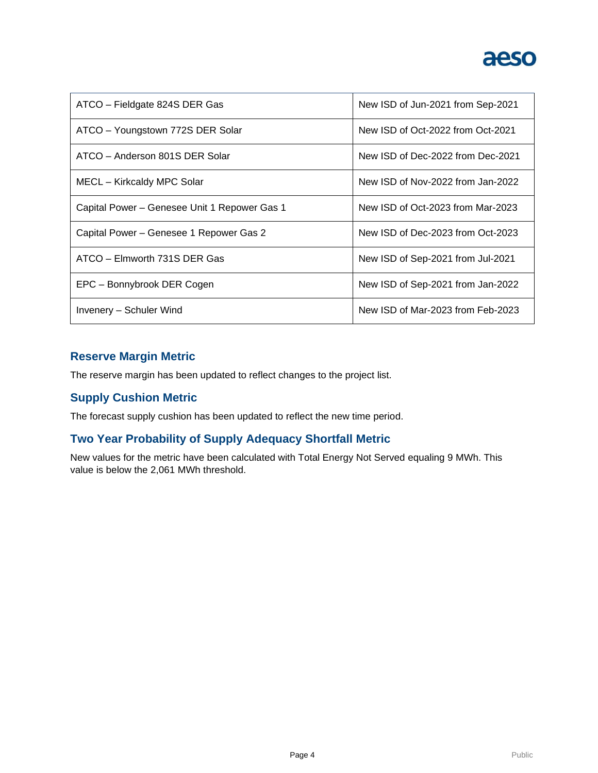

| ATCO - Fieldgate 824S DER Gas                | New ISD of Jun-2021 from Sep-2021 |  |  |
|----------------------------------------------|-----------------------------------|--|--|
| ATCO - Youngstown 772S DER Solar             | New ISD of Oct-2022 from Oct-2021 |  |  |
| ATCO - Anderson 801S DER Solar               | New ISD of Dec-2022 from Dec-2021 |  |  |
| MECL - Kirkcaldy MPC Solar                   | New ISD of Nov-2022 from Jan-2022 |  |  |
| Capital Power – Genesee Unit 1 Repower Gas 1 | New ISD of Oct-2023 from Mar-2023 |  |  |
| Capital Power - Genesee 1 Repower Gas 2      | New ISD of Dec-2023 from Oct-2023 |  |  |
| $ATCO - Elmvorth 731S DER Gas$               | New ISD of Sep-2021 from Jul-2021 |  |  |
| EPC - Bonnybrook DER Cogen                   | New ISD of Sep-2021 from Jan-2022 |  |  |
| Invenery – Schuler Wind                      | New ISD of Mar-2023 from Feb-2023 |  |  |

### **Reserve Margin Metric**

The reserve margin has been updated to reflect changes to the project list.

### **Supply Cushion Metric**

The forecast supply cushion has been updated to reflect the new time period.

### **Two Year Probability of Supply Adequacy Shortfall Metric**

New values for the metric have been calculated with Total Energy Not Served equaling 9 MWh. This value is below the 2,061 MWh threshold.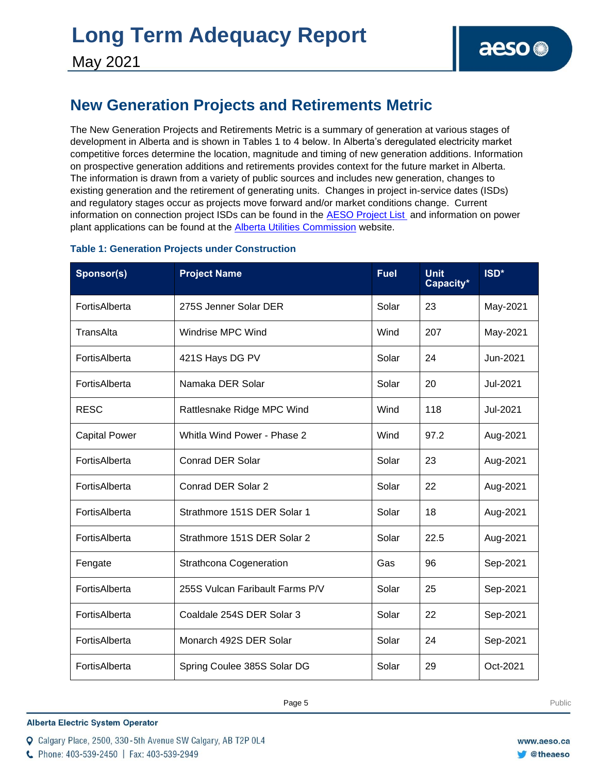### **New Generation Projects and Retirements Metric**

The New Generation Projects and Retirements Metric is a summary of generation at various stages of development in Alberta and is shown in Tables 1 to 4 below. In Alberta's deregulated electricity market competitive forces determine the location, magnitude and timing of new generation additions. Information on prospective generation additions and retirements provides context for the future market in Alberta. The information is drawn from a variety of public sources and includes new generation, changes to existing generation and the retirement of generating units. Changes in project in-service dates (ISDs) and regulatory stages occur as projects move forward and/or market conditions change. Current information on connection project ISDs can be found in the [AESO Project List](https://www.aeso.ca/grid/connecting-to-the-grid/) and information on power plant applications can be found at the **Alberta Utilities Commission** website.

| Sponsor(s)           | <b>Project Name</b>             | <b>Fuel</b> | <b>Unit</b><br>Capacity* | ISD*     |
|----------------------|---------------------------------|-------------|--------------------------|----------|
| FortisAlberta        | 275S Jenner Solar DER           | Solar       | 23                       | May-2021 |
| TransAlta            | Windrise MPC Wind               | Wind        | 207                      | May-2021 |
| FortisAlberta        | 421S Hays DG PV                 | Solar       | 24                       | Jun-2021 |
| FortisAlberta        | Namaka DER Solar                | Solar       | 20                       | Jul-2021 |
| <b>RESC</b>          | Rattlesnake Ridge MPC Wind      | Wind        | 118                      | Jul-2021 |
| <b>Capital Power</b> | Whitla Wind Power - Phase 2     | Wind        | 97.2                     | Aug-2021 |
| FortisAlberta        | <b>Conrad DER Solar</b>         | Solar       | 23                       | Aug-2021 |
| FortisAlberta        | Conrad DER Solar 2              | Solar       | 22                       | Aug-2021 |
| FortisAlberta        | Strathmore 151S DER Solar 1     | Solar       | 18                       | Aug-2021 |
| FortisAlberta        | Strathmore 151S DER Solar 2     | Solar       | 22.5                     | Aug-2021 |
| Fengate              | <b>Strathcona Cogeneration</b>  | Gas         | 96                       | Sep-2021 |
| FortisAlberta        | 255S Vulcan Faribault Farms P/V | Solar       | 25                       | Sep-2021 |
| FortisAlberta        | Coaldale 254S DER Solar 3       | Solar       | 22                       | Sep-2021 |
| FortisAlberta        | Monarch 492S DER Solar          | Solar       | 24                       | Sep-2021 |
| FortisAlberta        | Spring Coulee 385S Solar DG     | Solar       | 29                       | Oct-2021 |

### **Table 1: Generation Projects under Construction**

**Alberta Electric System Operator** 

C Phone: 403-539-2450 | Fax: 403-539-2949

**Enter Football Page 5** Public Page 4 **Public Public Public Public Public Public Public Public Public Public Public Public Public Public Public Public Public Public Public Public Public Public Public Public Public Public P** 

Q Calgary Place, 2500, 330-5th Avenue SW Calgary, AB T2P 0L4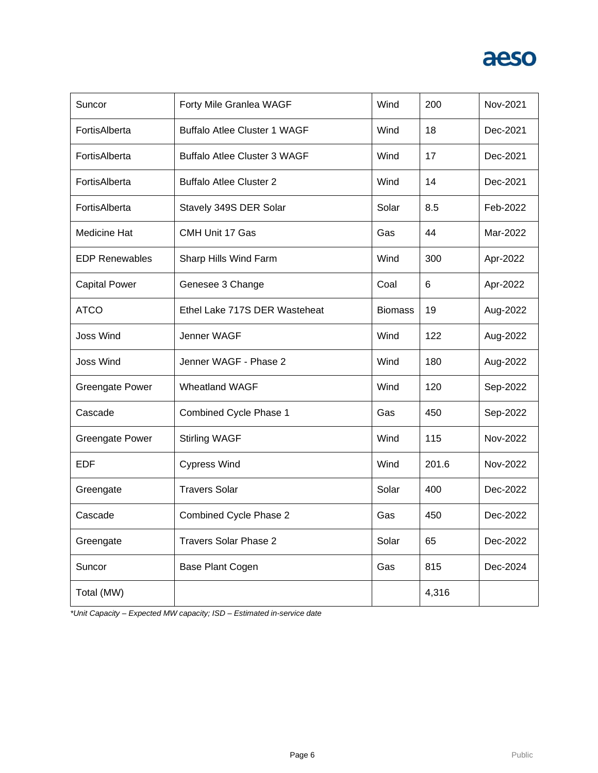| Suncor                 | Forty Mile Granlea WAGF             | Wind           | 200   | Nov-2021 |
|------------------------|-------------------------------------|----------------|-------|----------|
| FortisAlberta          | <b>Buffalo Atlee Cluster 1 WAGF</b> | Wind           | 18    | Dec-2021 |
| FortisAlberta          | <b>Buffalo Atlee Cluster 3 WAGF</b> | Wind           | 17    | Dec-2021 |
| FortisAlberta          | <b>Buffalo Atlee Cluster 2</b>      | Wind           | 14    | Dec-2021 |
| FortisAlberta          | Stavely 349S DER Solar              | Solar          | 8.5   | Feb-2022 |
| <b>Medicine Hat</b>    | CMH Unit 17 Gas                     | Gas            | 44    | Mar-2022 |
| <b>EDP Renewables</b>  | Sharp Hills Wind Farm               | Wind           | 300   | Apr-2022 |
| <b>Capital Power</b>   | Genesee 3 Change                    | Coal           | 6     | Apr-2022 |
| <b>ATCO</b>            | Ethel Lake 717S DER Wasteheat       | <b>Biomass</b> | 19    | Aug-2022 |
| <b>Joss Wind</b>       | Jenner WAGF                         | Wind           | 122   | Aug-2022 |
| <b>Joss Wind</b>       | Jenner WAGF - Phase 2               | Wind           | 180   | Aug-2022 |
| <b>Greengate Power</b> | <b>Wheatland WAGF</b>               | Wind           | 120   | Sep-2022 |
| Cascade                | <b>Combined Cycle Phase 1</b>       | Gas            | 450   | Sep-2022 |
| <b>Greengate Power</b> | <b>Stirling WAGF</b>                | Wind           | 115   | Nov-2022 |
| <b>EDF</b>             | <b>Cypress Wind</b>                 | Wind           | 201.6 | Nov-2022 |
| Greengate              | <b>Travers Solar</b>                | Solar          | 400   | Dec-2022 |
| Cascade                | Combined Cycle Phase 2              | Gas            | 450   | Dec-2022 |
| Greengate              | Travers Solar Phase 2               | Solar          | 65    | Dec-2022 |
| Suncor                 | <b>Base Plant Cogen</b>             | Gas            | 815   | Dec-2024 |
| Total (MW)             |                                     |                | 4,316 |          |

*\*Unit Capacity – Expected MW capacity; ISD – Estimated in-service date*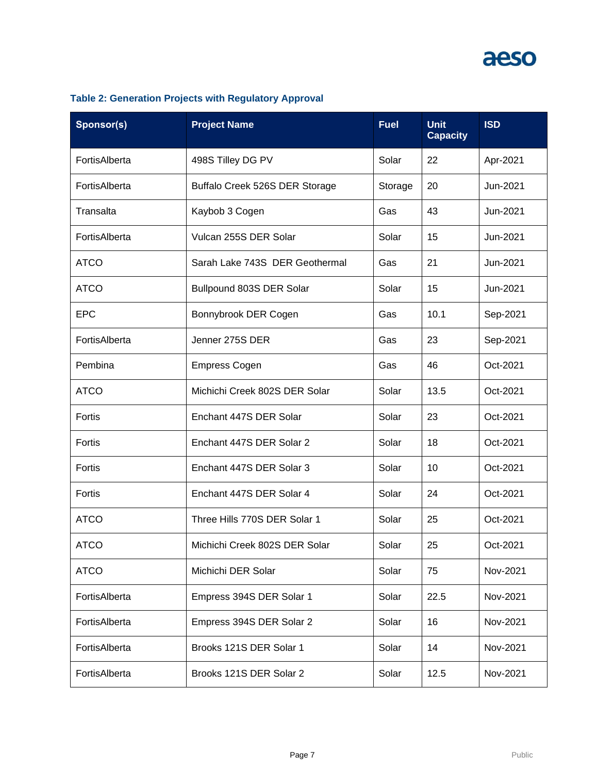| Sponsor(s)    | <b>Project Name</b>            | <b>Fuel</b> | <b>Unit</b><br><b>Capacity</b> | <b>ISD</b> |
|---------------|--------------------------------|-------------|--------------------------------|------------|
| FortisAlberta | 498S Tilley DG PV              | Solar       | 22                             | Apr-2021   |
| FortisAlberta | Buffalo Creek 526S DER Storage | Storage     | 20                             | Jun-2021   |
| Transalta     | Kaybob 3 Cogen                 | Gas         | 43                             | Jun-2021   |
| FortisAlberta | Vulcan 255S DER Solar          | Solar       | 15                             | Jun-2021   |
| <b>ATCO</b>   | Sarah Lake 743S DER Geothermal | Gas         | 21                             | Jun-2021   |
| <b>ATCO</b>   | Bullpound 803S DER Solar       | Solar       | 15                             | Jun-2021   |
| <b>EPC</b>    | Bonnybrook DER Cogen           | Gas         | 10.1                           | Sep-2021   |
| FortisAlberta | Jenner 275S DER                | Gas         | 23                             | Sep-2021   |
| Pembina       | <b>Empress Cogen</b>           | Gas         | 46                             | Oct-2021   |
| <b>ATCO</b>   | Michichi Creek 802S DER Solar  | Solar       | 13.5                           | Oct-2021   |
| Fortis        | Enchant 447S DER Solar         | Solar       | 23                             | Oct-2021   |
| Fortis        | Enchant 447S DER Solar 2       | Solar       | 18                             | Oct-2021   |
| Fortis        | Enchant 447S DER Solar 3       | Solar       | 10                             | Oct-2021   |
| Fortis        | Enchant 447S DER Solar 4       | Solar       | 24                             | Oct-2021   |
| <b>ATCO</b>   | Three Hills 770S DER Solar 1   | Solar       | 25                             | Oct-2021   |
| <b>ATCO</b>   | Michichi Creek 802S DER Solar  | Solar       | 25                             | Oct-2021   |
| <b>ATCO</b>   | Michichi DER Solar             | Solar       | 75                             | Nov-2021   |
| FortisAlberta | Empress 394S DER Solar 1       | Solar       | 22.5                           | Nov-2021   |
| FortisAlberta | Empress 394S DER Solar 2       | Solar       | 16                             | Nov-2021   |
| FortisAlberta | Brooks 121S DER Solar 1        | Solar       | 14                             | Nov-2021   |
| FortisAlberta | Brooks 121S DER Solar 2        | Solar       | 12.5                           | Nov-2021   |

### **Table 2: Generation Projects with Regulatory Approval**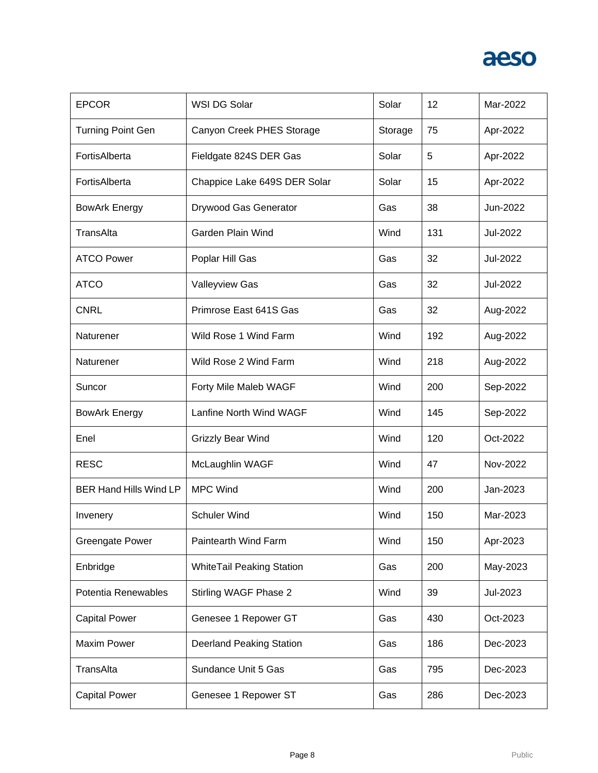| <b>EPCOR</b>                  | WSI DG Solar                     | Solar   | 12  | Mar-2022 |
|-------------------------------|----------------------------------|---------|-----|----------|
| <b>Turning Point Gen</b>      | Canyon Creek PHES Storage        | Storage | 75  | Apr-2022 |
| FortisAlberta                 | Fieldgate 824S DER Gas           | Solar   | 5   | Apr-2022 |
| FortisAlberta                 | Chappice Lake 649S DER Solar     | Solar   | 15  | Apr-2022 |
| <b>BowArk Energy</b>          | Drywood Gas Generator            | Gas     | 38  | Jun-2022 |
| TransAlta                     | Garden Plain Wind                | Wind    | 131 | Jul-2022 |
| <b>ATCO Power</b>             | Poplar Hill Gas                  | Gas     | 32  | Jul-2022 |
| <b>ATCO</b>                   | <b>Valleyview Gas</b>            | Gas     | 32  | Jul-2022 |
| <b>CNRL</b>                   | Primrose East 641S Gas           | Gas     | 32  | Aug-2022 |
| Naturener                     | Wild Rose 1 Wind Farm            | Wind    | 192 | Aug-2022 |
| Naturener                     | Wild Rose 2 Wind Farm            | Wind    | 218 | Aug-2022 |
| Suncor                        | Forty Mile Maleb WAGF            | Wind    | 200 | Sep-2022 |
| <b>BowArk Energy</b>          | Lanfine North Wind WAGF          | Wind    | 145 | Sep-2022 |
| Enel                          | <b>Grizzly Bear Wind</b>         | Wind    | 120 | Oct-2022 |
| <b>RESC</b>                   | McLaughlin WAGF                  | Wind    | 47  | Nov-2022 |
| <b>BER Hand Hills Wind LP</b> | <b>MPC Wind</b>                  | Wind    | 200 | Jan-2023 |
| Invenery                      | <b>Schuler Wind</b>              | Wind    | 150 | Mar-2023 |
| <b>Greengate Power</b>        | Paintearth Wind Farm             | Wind    | 150 | Apr-2023 |
| Enbridge                      | <b>WhiteTail Peaking Station</b> | Gas     | 200 | May-2023 |
| Potentia Renewables           | Stirling WAGF Phase 2            | Wind    | 39  | Jul-2023 |
| <b>Capital Power</b>          | Genesee 1 Repower GT             | Gas     | 430 | Oct-2023 |
| <b>Maxim Power</b>            | Deerland Peaking Station         | Gas     | 186 | Dec-2023 |
| TransAlta                     | Sundance Unit 5 Gas              | Gas     | 795 | Dec-2023 |
| <b>Capital Power</b>          | Genesee 1 Repower ST             | Gas     | 286 | Dec-2023 |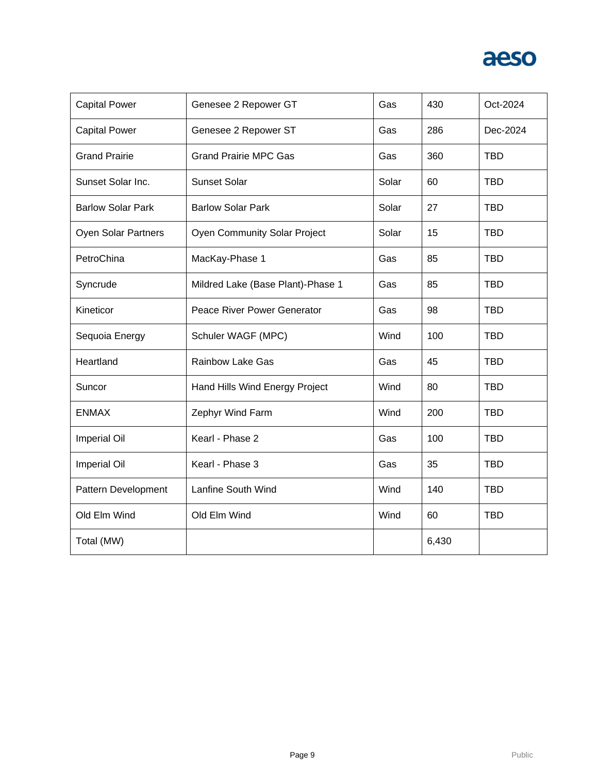

| <b>Capital Power</b>       | Genesee 2 Repower GT                | Gas   | 430   | Oct-2024   |
|----------------------------|-------------------------------------|-------|-------|------------|
| <b>Capital Power</b>       | Genesee 2 Repower ST                | Gas   | 286   | Dec-2024   |
| <b>Grand Prairie</b>       | <b>Grand Prairie MPC Gas</b>        | Gas   | 360   | <b>TBD</b> |
| Sunset Solar Inc.          | <b>Sunset Solar</b>                 | Solar | 60    | <b>TBD</b> |
| <b>Barlow Solar Park</b>   | <b>Barlow Solar Park</b>            | Solar | 27    | <b>TBD</b> |
| <b>Oyen Solar Partners</b> | <b>Oyen Community Solar Project</b> | Solar | 15    | <b>TBD</b> |
| PetroChina                 | MacKay-Phase 1                      | Gas   | 85    | <b>TBD</b> |
| Syncrude                   | Mildred Lake (Base Plant)-Phase 1   | Gas   | 85    | <b>TBD</b> |
| Kineticor                  | Peace River Power Generator         | Gas   | 98    | <b>TBD</b> |
| Sequoia Energy             | Schuler WAGF (MPC)                  | Wind  | 100   | <b>TBD</b> |
| Heartland                  | <b>Rainbow Lake Gas</b>             | Gas   | 45    | <b>TBD</b> |
| Suncor                     | Hand Hills Wind Energy Project      | Wind  | 80    | <b>TBD</b> |
| <b>ENMAX</b>               | Zephyr Wind Farm                    | Wind  | 200   | <b>TBD</b> |
| <b>Imperial Oil</b>        | Kearl - Phase 2                     | Gas   | 100   | <b>TBD</b> |
| <b>Imperial Oil</b>        | Kearl - Phase 3                     | Gas   | 35    | <b>TBD</b> |
| Pattern Development        | Lanfine South Wind                  | Wind  | 140   | <b>TBD</b> |
| Old Elm Wind               | Old Elm Wind                        | Wind  | 60    | <b>TBD</b> |
| Total (MW)                 |                                     |       | 6,430 |            |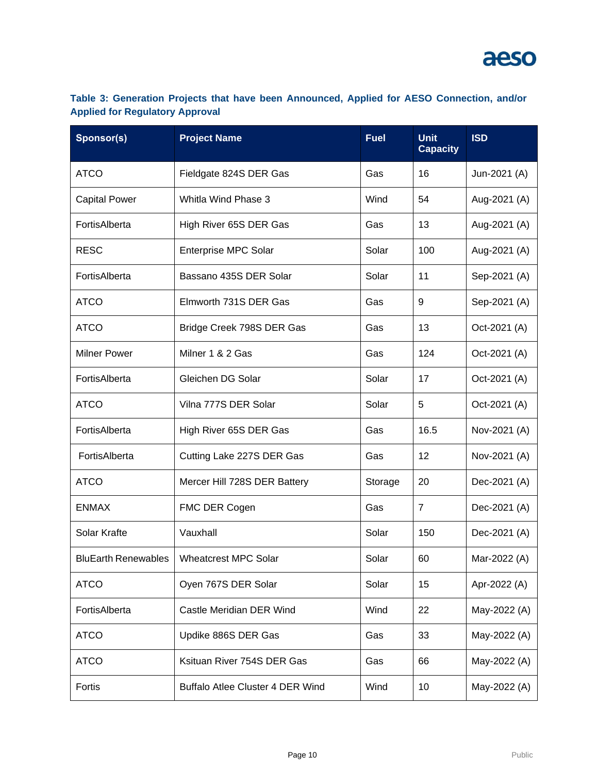### **Table 3: Generation Projects that have been Announced, Applied for AESO Connection, and/or Applied for Regulatory Approval**

| Sponsor(s)                 | <b>Project Name</b>                     | <b>Fuel</b> | <b>Unit</b><br><b>Capacity</b> | <b>ISD</b>   |
|----------------------------|-----------------------------------------|-------------|--------------------------------|--------------|
| <b>ATCO</b>                | Fieldgate 824S DER Gas                  | Gas         | 16                             | Jun-2021 (A) |
| <b>Capital Power</b>       | Whitla Wind Phase 3                     | Wind        | 54                             | Aug-2021 (A) |
| FortisAlberta              | High River 65S DER Gas                  | Gas         | 13                             | Aug-2021 (A) |
| <b>RESC</b>                | Enterprise MPC Solar                    | Solar       | 100                            | Aug-2021 (A) |
| FortisAlberta              | Bassano 435S DER Solar                  | Solar       | 11                             | Sep-2021 (A) |
| <b>ATCO</b>                | Elmworth 731S DER Gas                   | Gas         | 9                              | Sep-2021 (A) |
| <b>ATCO</b>                | Bridge Creek 798S DER Gas               | Gas         | 13                             | Oct-2021 (A) |
| <b>Milner Power</b>        | Milner 1 & 2 Gas                        | Gas         | 124                            | Oct-2021 (A) |
| FortisAlberta              | Gleichen DG Solar                       | Solar       | 17                             | Oct-2021 (A) |
| <b>ATCO</b>                | Vilna 777S DER Solar                    | Solar       | 5                              | Oct-2021 (A) |
| FortisAlberta              | High River 65S DER Gas                  | Gas         | 16.5                           | Nov-2021 (A) |
| FortisAlberta              | Cutting Lake 227S DER Gas               | Gas         | 12                             | Nov-2021 (A) |
| <b>ATCO</b>                | Mercer Hill 728S DER Battery            | Storage     | 20                             | Dec-2021 (A) |
| <b>ENMAX</b>               | FMC DER Cogen                           | Gas         | $\overline{7}$                 | Dec-2021 (A) |
| Solar Krafte               | Vauxhall                                | Solar       | 150                            | Dec-2021 (A) |
| <b>BluEarth Renewables</b> | <b>Wheatcrest MPC Solar</b>             | Solar       | 60                             | Mar-2022 (A) |
| <b>ATCO</b>                | Oyen 767S DER Solar                     | Solar       | 15                             | Apr-2022 (A) |
| FortisAlberta              | Castle Meridian DER Wind                | Wind        | 22                             | May-2022 (A) |
| <b>ATCO</b>                | Updike 886S DER Gas                     | Gas         | 33                             | May-2022 (A) |
| <b>ATCO</b>                | Ksituan River 754S DER Gas              | Gas         | 66                             | May-2022 (A) |
| Fortis                     | <b>Buffalo Atlee Cluster 4 DER Wind</b> | Wind        | 10                             | May-2022 (A) |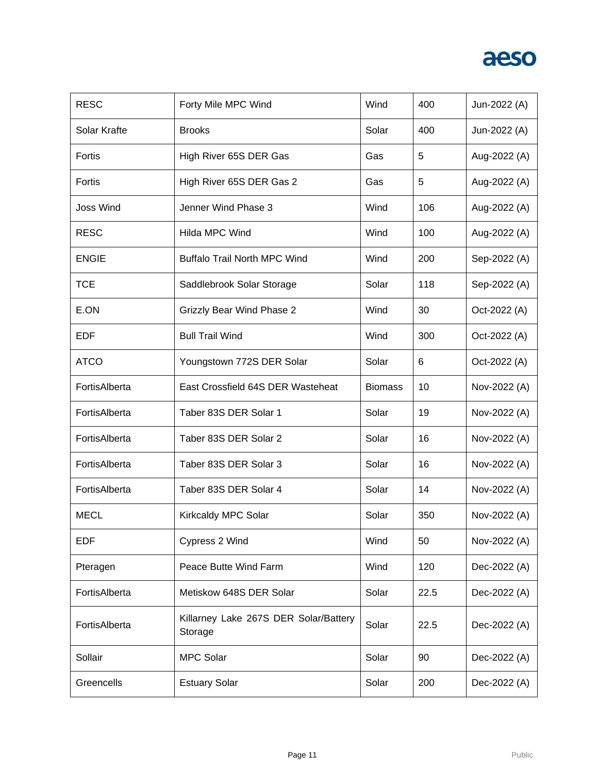| <b>RESC</b>      | Forty Mile MPC Wind                              | Wind           | 400  | Jun-2022 (A) |
|------------------|--------------------------------------------------|----------------|------|--------------|
| Solar Krafte     | <b>Brooks</b>                                    | Solar          | 400  | Jun-2022 (A) |
| Fortis           | High River 65S DER Gas                           | Gas            | 5    | Aug-2022 (A) |
| Fortis           | High River 65S DER Gas 2                         | Gas            | 5    | Aug-2022 (A) |
| <b>Joss Wind</b> | Jenner Wind Phase 3                              | Wind           | 106  | Aug-2022 (A) |
| <b>RESC</b>      | Hilda MPC Wind                                   | Wind           | 100  | Aug-2022 (A) |
| <b>ENGIE</b>     | <b>Buffalo Trail North MPC Wind</b>              | Wind           | 200  | Sep-2022 (A) |
| <b>TCE</b>       | Saddlebrook Solar Storage                        | Solar          | 118  | Sep-2022 (A) |
| E.ON             | <b>Grizzly Bear Wind Phase 2</b>                 | Wind           | 30   | Oct-2022 (A) |
| <b>EDF</b>       | <b>Bull Trail Wind</b>                           | Wind           | 300  | Oct-2022 (A) |
| <b>ATCO</b>      | Youngstown 772S DER Solar                        | Solar          | 6    | Oct-2022 (A) |
| FortisAlberta    | East Crossfield 64S DER Wasteheat                | <b>Biomass</b> | 10   | Nov-2022 (A) |
| FortisAlberta    | Taber 83S DER Solar 1                            | Solar          | 19   | Nov-2022 (A) |
| FortisAlberta    | Taber 83S DER Solar 2                            | Solar          | 16   | Nov-2022 (A) |
| FortisAlberta    | Taber 83S DER Solar 3                            | Solar          | 16   | Nov-2022 (A) |
| FortisAlberta    | Taber 83S DER Solar 4                            | Solar          | 14   | Nov-2022 (A) |
| <b>MECL</b>      | Kirkcaldy MPC Solar                              | Solar          | 350  | Nov-2022 (A) |
| <b>EDF</b>       | Cypress 2 Wind                                   | Wind           | 50   | Nov-2022 (A) |
| Pteragen         | Peace Butte Wind Farm                            | Wind           | 120  | Dec-2022 (A) |
| FortisAlberta    | Metiskow 648S DER Solar                          | Solar          | 22.5 | Dec-2022 (A) |
| FortisAlberta    | Killarney Lake 267S DER Solar/Battery<br>Storage | Solar          | 22.5 | Dec-2022 (A) |
| Sollair          | <b>MPC Solar</b>                                 | Solar          | 90   | Dec-2022 (A) |
| Greencells       | <b>Estuary Solar</b>                             | Solar          | 200  | Dec-2022 (A) |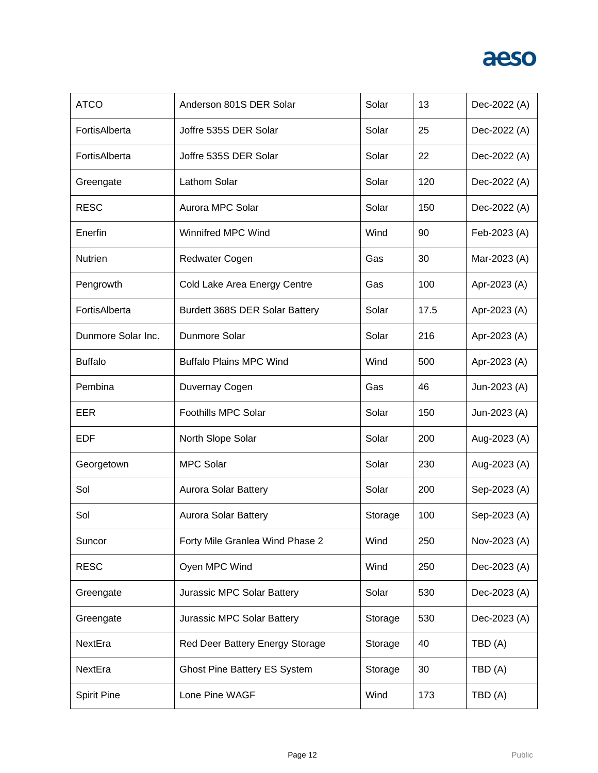| <b>ATCO</b>        | Anderson 801S DER Solar             | Solar   | 13   | Dec-2022 (A) |
|--------------------|-------------------------------------|---------|------|--------------|
| FortisAlberta      | Joffre 535S DER Solar               | Solar   | 25   | Dec-2022 (A) |
| FortisAlberta      | Joffre 535S DER Solar               | Solar   | 22   | Dec-2022 (A) |
| Greengate          | Lathom Solar                        | Solar   | 120  | Dec-2022 (A) |
| <b>RESC</b>        | Aurora MPC Solar                    | Solar   | 150  | Dec-2022 (A) |
| Enerfin            | <b>Winnifred MPC Wind</b>           | Wind    | 90   | Feb-2023 (A) |
| Nutrien            | Redwater Cogen                      | Gas     | 30   | Mar-2023 (A) |
| Pengrowth          | Cold Lake Area Energy Centre        | Gas     | 100  | Apr-2023 (A) |
| FortisAlberta      | Burdett 368S DER Solar Battery      | Solar   | 17.5 | Apr-2023 (A) |
| Dunmore Solar Inc. | Dunmore Solar                       | Solar   | 216  | Apr-2023 (A) |
| <b>Buffalo</b>     | <b>Buffalo Plains MPC Wind</b>      | Wind    | 500  | Apr-2023 (A) |
| Pembina            | Duvernay Cogen                      | Gas     | 46   | Jun-2023 (A) |
| EER                | Foothills MPC Solar                 | Solar   | 150  | Jun-2023 (A) |
| <b>EDF</b>         | North Slope Solar                   | Solar   | 200  | Aug-2023 (A) |
| Georgetown         | <b>MPC Solar</b>                    | Solar   | 230  | Aug-2023 (A) |
| Sol                | <b>Aurora Solar Battery</b>         | Solar   | 200  | Sep-2023 (A) |
| Sol                | Aurora Solar Battery                | Storage | 100  | Sep-2023 (A) |
| Suncor             | Forty Mile Granlea Wind Phase 2     | Wind    | 250  | Nov-2023 (A) |
| <b>RESC</b>        | Oyen MPC Wind                       | Wind    | 250  | Dec-2023 (A) |
| Greengate          | Jurassic MPC Solar Battery          | Solar   | 530  | Dec-2023 (A) |
| Greengate          | Jurassic MPC Solar Battery          | Storage | 530  | Dec-2023 (A) |
| NextEra            | Red Deer Battery Energy Storage     | Storage | 40   | TBD (A)      |
| NextEra            | <b>Ghost Pine Battery ES System</b> | Storage | 30   | TBD (A)      |
| <b>Spirit Pine</b> | Lone Pine WAGF                      | Wind    | 173  | TBD(A)       |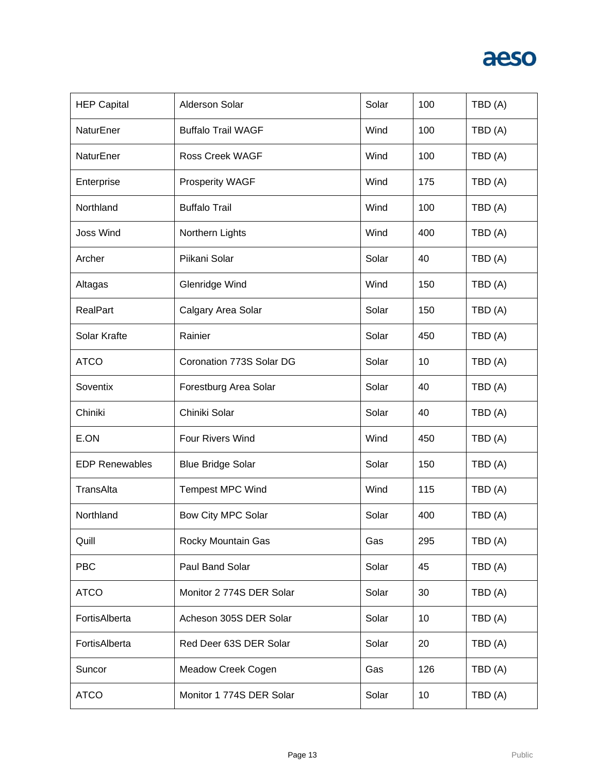| <b>HEP Capital</b>    | <b>Alderson Solar</b>     | Solar | 100 | TBD (A) |
|-----------------------|---------------------------|-------|-----|---------|
| NaturEner             | <b>Buffalo Trail WAGF</b> | Wind  | 100 | TBD (A) |
| NaturEner             | Ross Creek WAGF           | Wind  | 100 | TBD (A) |
| Enterprise            | <b>Prosperity WAGF</b>    | Wind  | 175 | TBD (A) |
| Northland             | <b>Buffalo Trail</b>      | Wind  | 100 | TBD (A) |
| <b>Joss Wind</b>      | Northern Lights           | Wind  | 400 | TBD (A) |
| Archer                | Piikani Solar             | Solar | 40  | TBD (A) |
| Altagas               | Glenridge Wind            | Wind  | 150 | TBD (A) |
| RealPart              | Calgary Area Solar        | Solar | 150 | TBD (A) |
| Solar Krafte          | Rainier                   | Solar | 450 | TBD (A) |
| <b>ATCO</b>           | Coronation 773S Solar DG  | Solar | 10  | TBD (A) |
| Soventix              | Forestburg Area Solar     | Solar | 40  | TBD (A) |
| Chiniki               | Chiniki Solar             | Solar | 40  | TBD (A) |
| E.ON                  | Four Rivers Wind          | Wind  | 450 | TBD (A) |
| <b>EDP Renewables</b> | <b>Blue Bridge Solar</b>  | Solar | 150 | TBD (A) |
| TransAlta             | <b>Tempest MPC Wind</b>   | Wind  | 115 | TBD (A) |
| Northland             | <b>Bow City MPC Solar</b> | Solar | 400 | TBD (A) |
| Quill                 | Rocky Mountain Gas        | Gas   | 295 | TBD (A) |
| <b>PBC</b>            | Paul Band Solar           | Solar | 45  | TBD (A) |
| <b>ATCO</b>           | Monitor 2 774S DER Solar  | Solar | 30  | TBD (A) |
| FortisAlberta         | Acheson 305S DER Solar    | Solar | 10  | TBD (A) |
| FortisAlberta         | Red Deer 63S DER Solar    | Solar | 20  | TBD (A) |
| Suncor                | Meadow Creek Cogen        | Gas   | 126 | TBD (A) |
| <b>ATCO</b>           | Monitor 1 774S DER Solar  | Solar | 10  | TBD (A) |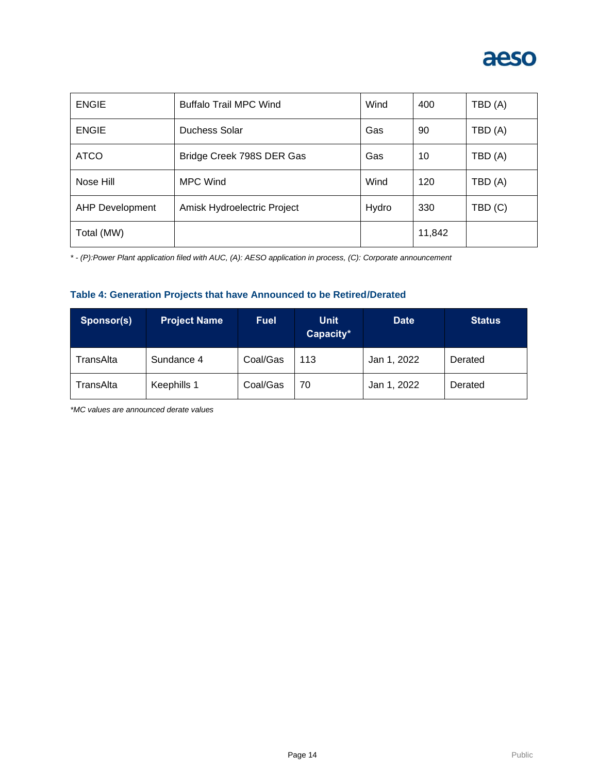

| <b>ENGIE</b>           | <b>Buffalo Trail MPC Wind</b> | Wind  | 400    | TBD (A) |
|------------------------|-------------------------------|-------|--------|---------|
| <b>ENGIE</b>           | Duchess Solar                 | Gas   | 90     | TBD (A) |
| <b>ATCO</b>            | Bridge Creek 798S DER Gas     | Gas   | 10     | TBD(A)  |
| Nose Hill              | <b>MPC Wind</b>               | Wind  | 120    | TBD (A) |
| <b>AHP Development</b> | Amisk Hydroelectric Project   | Hydro | 330    | TBD (C) |
| Total (MW)             |                               |       | 11,842 |         |

*\* - (P):Power Plant application filed with AUC, (A): AESO application in process, (C): Corporate announcement*

#### **Table 4: Generation Projects that have Announced to be Retired/Derated**

| Sponsor(s) | <b>Project Name</b> | <b>Fuel</b> | <b>Unit</b><br>Capacity* | <b>Date</b> | <b>Status</b> |
|------------|---------------------|-------------|--------------------------|-------------|---------------|
| TransAlta  | Sundance 4          | Coal/Gas    | 113                      | Jan 1, 2022 | Derated       |
| TransAlta  | Keephills 1         | Coal/Gas    | 70                       | Jan 1, 2022 | Derated       |

*\*MC values are announced derate values*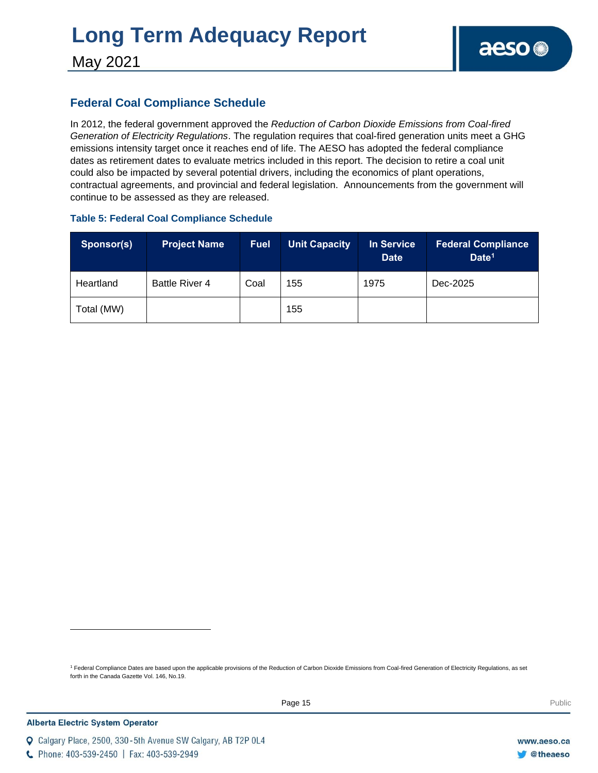# **Long Term Adequacy Report**

May 2021

### **Federal Coal Compliance Schedule**

In 2012, the federal government approved the *Reduction of Carbon Dioxide Emissions from Coal-fired Generation of Electricity Regulations*. The regulation requires that coal-fired generation units meet a GHG emissions intensity target once it reaches end of life. The AESO has adopted the federal compliance dates as retirement dates to evaluate metrics included in this report. The decision to retire a coal unit could also be impacted by several potential drivers, including the economics of plant operations, contractual agreements, and provincial and federal legislation. Announcements from the government will continue to be assessed as they are released.

### **Table 5: Federal Coal Compliance Schedule**

| Sponsor(s) | <b>Project Name</b>   | <b>Fuel</b> | <b>Unit Capacity</b> | In Service<br><b>Date</b> | <b>Federal Compliance</b><br>Date <sup>1</sup> |
|------------|-----------------------|-------------|----------------------|---------------------------|------------------------------------------------|
| Heartland  | <b>Battle River 4</b> | Coal        | 155                  | 1975                      | Dec-2025                                       |
| Total (MW) |                       |             | 155                  |                           |                                                |

<sup>1</sup> Federal Compliance Dates are based upon the applicable provisions of the Reduction of Carbon Dioxide Emissions from Coal-fired Generation of Electricity Regulations, as set forth in the Canada Gazette Vol. 146, No.19.

C Phone: 403-539-2450 | Fax: 403-539-2949

Q Calgary Place, 2500, 330-5th Avenue SW Calgary, AB T2P 0L4

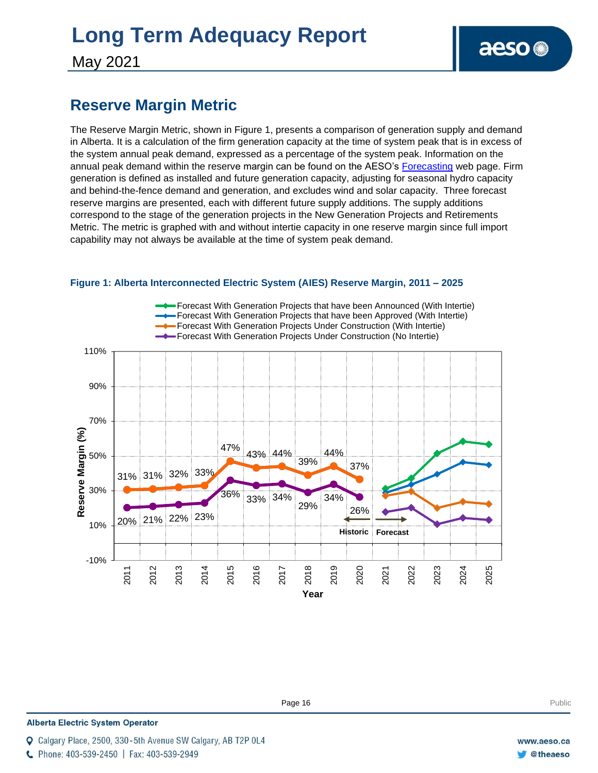# **Long Term Adequacy Report**

May 2021

### **Reserve Margin Metric**

The Reserve Margin Metric, shown in Figure 1, presents a comparison of generation supply and demand in Alberta. It is a calculation of the firm generation capacity at the time of system peak that is in excess of the system annual peak demand, expressed as a percentage of the system peak. Information on the annual peak demand within the reserve margin can be found on the AESO's [Forecasting](https://www.aeso.ca/grid/forecasting) web page. Firm generation is defined as installed and future generation capacity, adjusting for seasonal hydro capacity and behind-the-fence demand and generation, and excludes wind and solar capacity. Three forecast reserve margins are presented, each with different future supply additions. The supply additions correspond to the stage of the generation projects in the New Generation Projects and Retirements Metric. The metric is graphed with and without intertie capacity in one reserve margin since full import capability may not always be available at the time of system peak demand.



#### **Figure 1: Alberta Interconnected Electric System (AIES) Reserve Margin, 2011 – 2025**

**Enter Football Page 16** Public Public Public Public Public Public Public Public Public Public Public Public Public Public Public Public Public Public Public Public Public Public Public Public Public Public Public Public P

**Alberta Electric System Operator** 

C Phone: 403-539-2450 | Fax: 403-539-2949

Calgary Place, 2500, 330-5th Avenue SW Calgary, AB T2P 0L4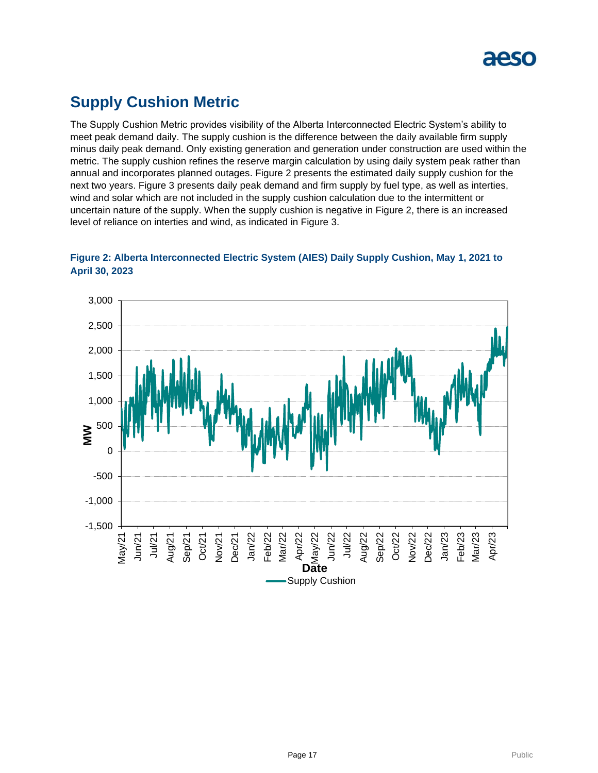

### **Supply Cushion Metric**

The Supply Cushion Metric provides visibility of the Alberta Interconnected Electric System's ability to meet peak demand daily. The supply cushion is the difference between the daily available firm supply minus daily peak demand. Only existing generation and generation under construction are used within the metric. The supply cushion refines the reserve margin calculation by using daily system peak rather than annual and incorporates planned outages. Figure 2 presents the estimated daily supply cushion for the next two years. Figure 3 presents daily peak demand and firm supply by fuel type, as well as interties, wind and solar which are not included in the supply cushion calculation due to the intermittent or uncertain nature of the supply. When the supply cushion is negative in Figure 2, there is an increased level of reliance on interties and wind, as indicated in Figure 3.



**Figure 2: Alberta Interconnected Electric System (AIES) Daily Supply Cushion, May 1, 2021 to April 30, 2023**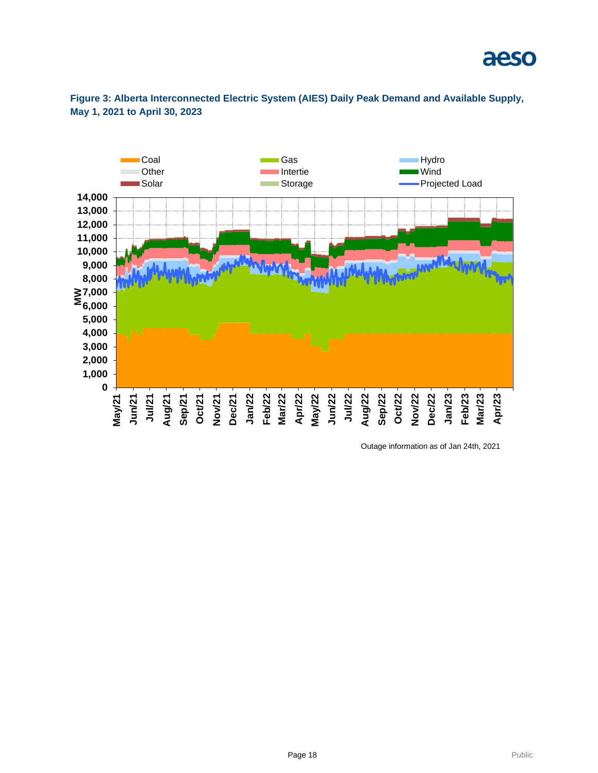

**Figure 3: Alberta Interconnected Electric System (AIES) Daily Peak Demand and Available Supply, May 1, 2021 to April 30, 2023**

Outage information as of Jan 24th, 2021